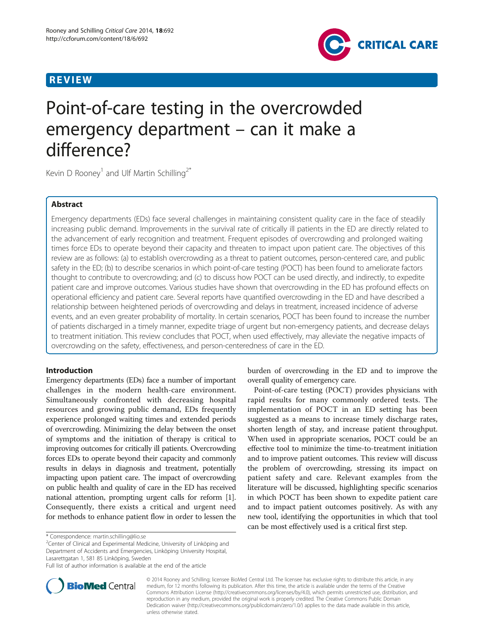# REVIEW



# Point-of-care testing in the overcrowded emergency department – can it make a difference?

Kevin D Rooney<sup>1</sup> and Ulf Martin Schilling<sup>2\*</sup>

# Abstract

Emergency departments (EDs) face several challenges in maintaining consistent quality care in the face of steadily increasing public demand. Improvements in the survival rate of critically ill patients in the ED are directly related to the advancement of early recognition and treatment. Frequent episodes of overcrowding and prolonged waiting times force EDs to operate beyond their capacity and threaten to impact upon patient care. The objectives of this review are as follows: (a) to establish overcrowding as a threat to patient outcomes, person-centered care, and public safety in the ED; (b) to describe scenarios in which point-of-care testing (POCT) has been found to ameliorate factors thought to contribute to overcrowding; and (c) to discuss how POCT can be used directly, and indirectly, to expedite patient care and improve outcomes. Various studies have shown that overcrowding in the ED has profound effects on operational efficiency and patient care. Several reports have quantified overcrowding in the ED and have described a relationship between heightened periods of overcrowding and delays in treatment, increased incidence of adverse events, and an even greater probability of mortality. In certain scenarios, POCT has been found to increase the number of patients discharged in a timely manner, expedite triage of urgent but non-emergency patients, and decrease delays to treatment initiation. This review concludes that POCT, when used effectively, may alleviate the negative impacts of overcrowding on the safety, effectiveness, and person-centeredness of care in the ED.

# Introduction

Emergency departments (EDs) face a number of important challenges in the modern health-care environment. Simultaneously confronted with decreasing hospital resources and growing public demand, EDs frequently experience prolonged waiting times and extended periods of overcrowding. Minimizing the delay between the onset of symptoms and the initiation of therapy is critical to improving outcomes for critically ill patients. Overcrowding forces EDs to operate beyond their capacity and commonly results in delays in diagnosis and treatment, potentially impacting upon patient care. The impact of overcrowding on public health and quality of care in the ED has received national attention, prompting urgent calls for reform [[1](#page-4-0)]. Consequently, there exists a critical and urgent need for methods to enhance patient flow in order to lessen the

<sup>2</sup>Center of Clinical and Experimental Medicine, University of Linköping and Department of Accidents and Emergencies, Linköping University Hospital, Lasarettgatan 1, 581 85 Linköping, Sweden

Full list of author information is available at the end of the article



burden of overcrowding in the ED and to improve the overall quality of emergency care.

Point-of-care testing (POCT) provides physicians with rapid results for many commonly ordered tests. The implementation of POCT in an ED setting has been suggested as a means to increase timely discharge rates, shorten length of stay, and increase patient throughput. When used in appropriate scenarios, POCT could be an effective tool to minimize the time-to-treatment initiation and to improve patient outcomes. This review will discuss the problem of overcrowding, stressing its impact on patient safety and care. Relevant examples from the literature will be discussed, highlighting specific scenarios in which POCT has been shown to expedite patient care and to impact patient outcomes positively. As with any new tool, identifying the opportunities in which that tool can be most effectively used is a critical first step.

© 2014 Rooney and Schilling; licensee BioMed Central Ltd. The licensee has exclusive rights to distribute this article, in any medium, for 12 months following its publication. After this time, the article is available under the terms of the Creative Commons Attribution License [\(http://creativecommons.org/licenses/by/4.0\)](http://creativecommons.org/licenses/by/4.0), which permits unrestricted use, distribution, and reproduction in any medium, provided the original work is properly credited. The Creative Commons Public Domain Dedication waiver [\(http://creativecommons.org/publicdomain/zero/1.0/](http://creativecommons.org/publicdomain/zero/1.0/)) applies to the data made available in this article, unless otherwise stated.

<sup>\*</sup> Correspondence: [martin.schilling@lio.se](mailto:martin.schilling@lio.se) <sup>2</sup>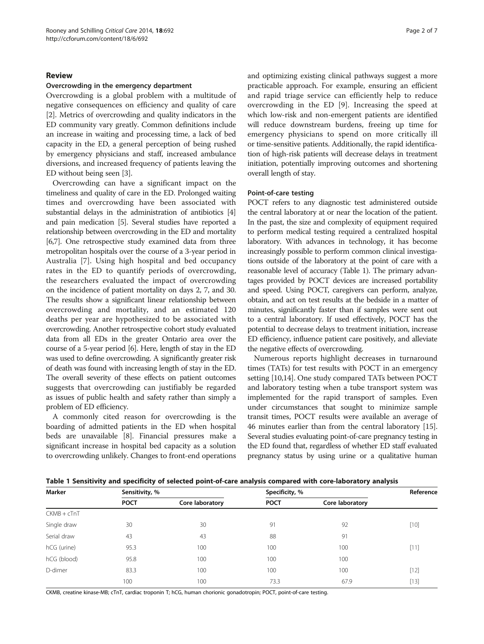#### Review

#### Overcrowding in the emergency department

Overcrowding is a global problem with a multitude of negative consequences on efficiency and quality of care [[2\]](#page-4-0). Metrics of overcrowding and quality indicators in the ED community vary greatly. Common definitions include an increase in waiting and processing time, a lack of bed capacity in the ED, a general perception of being rushed by emergency physicians and staff, increased ambulance diversions, and increased frequency of patients leaving the ED without being seen [\[3\]](#page-4-0).

Overcrowding can have a significant impact on the timeliness and quality of care in the ED. Prolonged waiting times and overcrowding have been associated with substantial delays in the administration of antibiotics [[4](#page-4-0)] and pain medication [\[5\]](#page-4-0). Several studies have reported a relationship between overcrowding in the ED and mortality [[6,7](#page-4-0)]. One retrospective study examined data from three metropolitan hospitals over the course of a 3-year period in Australia [\[7](#page-4-0)]. Using high hospital and bed occupancy rates in the ED to quantify periods of overcrowding, the researchers evaluated the impact of overcrowding on the incidence of patient mortality on days 2, 7, and 30. The results show a significant linear relationship between overcrowding and mortality, and an estimated 120 deaths per year are hypothesized to be associated with overcrowding. Another retrospective cohort study evaluated data from all EDs in the greater Ontario area over the course of a 5-year period [\[6](#page-4-0)]. Here, length of stay in the ED was used to define overcrowding. A significantly greater risk of death was found with increasing length of stay in the ED. The overall severity of these effects on patient outcomes suggests that overcrowding can justifiably be regarded as issues of public health and safety rather than simply a problem of ED efficiency.

A commonly cited reason for overcrowding is the boarding of admitted patients in the ED when hospital beds are unavailable [[8\]](#page-4-0). Financial pressures make a significant increase in hospital bed capacity as a solution to overcrowding unlikely. Changes to front-end operations and optimizing existing clinical pathways suggest a more practicable approach. For example, ensuring an efficient and rapid triage service can efficiently help to reduce overcrowding in the ED [[9\]](#page-5-0). Increasing the speed at which low-risk and non-emergent patients are identified will reduce downstream burdens, freeing up time for emergency physicians to spend on more critically ill or time-sensitive patients. Additionally, the rapid identification of high-risk patients will decrease delays in treatment initiation, potentially improving outcomes and shortening overall length of stay.

#### Point-of-care testing

POCT refers to any diagnostic test administered outside the central laboratory at or near the location of the patient. In the past, the size and complexity of equipment required to perform medical testing required a centralized hospital laboratory. With advances in technology, it has become increasingly possible to perform common clinical investigations outside of the laboratory at the point of care with a reasonable level of accuracy (Table 1). The primary advantages provided by POCT devices are increased portability and speed. Using POCT, caregivers can perform, analyze, obtain, and act on test results at the bedside in a matter of minutes, significantly faster than if samples were sent out to a central laboratory. If used effectively, POCT has the potential to decrease delays to treatment initiation, increase ED efficiency, influence patient care positively, and alleviate the negative effects of overcrowding.

Numerous reports highlight decreases in turnaround times (TATs) for test results with POCT in an emergency setting [\[10,14](#page-5-0)]. One study compared TATs between POCT and laboratory testing when a tube transport system was implemented for the rapid transport of samples. Even under circumstances that sought to minimize sample transit times, POCT results were available an average of 46 minutes earlier than from the central laboratory [[15](#page-5-0)]. Several studies evaluating point-of-care pregnancy testing in the ED found that, regardless of whether ED staff evaluated pregnancy status by using urine or a qualitative human

| Marker        | Sensitivity, % |                 | Specificity, % |                 | Reference |
|---------------|----------------|-----------------|----------------|-----------------|-----------|
|               | <b>POCT</b>    | Core laboratory | <b>POCT</b>    | Core laboratory |           |
| $CKMB + cTnT$ |                |                 |                |                 |           |
| Single draw   | 30             | 30              | 91             | 92              | $[10]$    |
| Serial draw   | 43             | 43              | 88             | 91              |           |
| hCG (urine)   | 95.3           | 100             | 100            | 100             | [11]      |
| hCG (blood)   | 95.8           | 100             | 100            | 100             |           |
| D-dimer       | 83.3           | 100             | 100            | 100             | $[12]$    |
|               | 100            | 100             | 73.3           | 67.9            | $[13]$    |

Table 1 Sensitivity and specificity of selected point-of-care analysis compared with core-laboratory analysis

CKMB, creatine kinase-MB; cTnT, cardiac troponin T; hCG, human chorionic gonadotropin; POCT, point-of-care testing.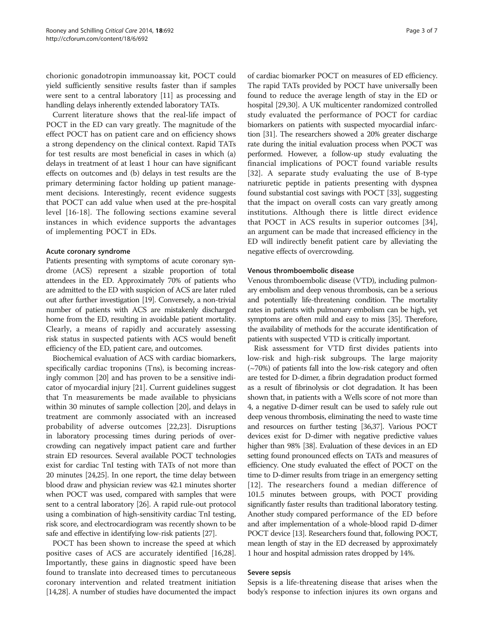chorionic gonadotropin immunoassay kit, POCT could yield sufficiently sensitive results faster than if samples were sent to a central laboratory [\[11\]](#page-5-0) as processing and handling delays inherently extended laboratory TATs.

Current literature shows that the real-life impact of POCT in the ED can vary greatly. The magnitude of the effect POCT has on patient care and on efficiency shows a strong dependency on the clinical context. Rapid TATs for test results are most beneficial in cases in which (a) delays in treatment of at least 1 hour can have significant effects on outcomes and (b) delays in test results are the primary determining factor holding up patient management decisions. Interestingly, recent evidence suggests that POCT can add value when used at the pre-hospital level [[16](#page-5-0)-[18\]](#page-5-0). The following sections examine several instances in which evidence supports the advantages of implementing POCT in EDs.

#### Acute coronary syndrome

Patients presenting with symptoms of acute coronary syndrome (ACS) represent a sizable proportion of total attendees in the ED. Approximately 70% of patients who are admitted to the ED with suspicion of ACS are later ruled out after further investigation [[19](#page-5-0)]. Conversely, a non-trivial number of patients with ACS are mistakenly discharged home from the ED, resulting in avoidable patient mortality. Clearly, a means of rapidly and accurately assessing risk status in suspected patients with ACS would benefit efficiency of the ED, patient care, and outcomes.

Biochemical evaluation of ACS with cardiac biomarkers, specifically cardiac troponins (Tns), is becoming increasingly common [\[20\]](#page-5-0) and has proven to be a sensitive indicator of myocardial injury [\[21\]](#page-5-0). Current guidelines suggest that Tn measurements be made available to physicians within 30 minutes of sample collection [[20](#page-5-0)], and delays in treatment are commonly associated with an increased probability of adverse outcomes [[22,23](#page-5-0)]. Disruptions in laboratory processing times during periods of overcrowding can negatively impact patient care and further strain ED resources. Several available POCT technologies exist for cardiac TnI testing with TATs of not more than 20 minutes [\[24,25\]](#page-5-0). In one report, the time delay between blood draw and physician review was 42.1 minutes shorter when POCT was used, compared with samples that were sent to a central laboratory [\[26\]](#page-5-0). A rapid rule-out protocol using a combination of high-sensitivity cardiac TnI testing, risk score, and electrocardiogram was recently shown to be safe and effective in identifying low-risk patients [\[27\]](#page-5-0).

POCT has been shown to increase the speed at which positive cases of ACS are accurately identified [\[16,28](#page-5-0)]. Importantly, these gains in diagnostic speed have been found to translate into decreased times to percutaneous coronary intervention and related treatment initiation [[14,28](#page-5-0)]. A number of studies have documented the impact of cardiac biomarker POCT on measures of ED efficiency. The rapid TATs provided by POCT have universally been found to reduce the average length of stay in the ED or hospital [\[29,30\]](#page-5-0). A UK multicenter randomized controlled study evaluated the performance of POCT for cardiac biomarkers on patients with suspected myocardial infarction [[31](#page-5-0)]. The researchers showed a 20% greater discharge rate during the initial evaluation process when POCT was performed. However, a follow-up study evaluating the financial implications of POCT found variable results [[32](#page-5-0)]. A separate study evaluating the use of B-type natriuretic peptide in patients presenting with dyspnea found substantial cost savings with POCT [\[33\]](#page-5-0), suggesting that the impact on overall costs can vary greatly among institutions. Although there is little direct evidence that POCT in ACS results in superior outcomes [\[34](#page-5-0)], an argument can be made that increased efficiency in the ED will indirectly benefit patient care by alleviating the negative effects of overcrowding.

#### Venous thromboembolic disease

Venous thromboembolic disease (VTD), including pulmonary embolism and deep venous thrombosis, can be a serious and potentially life-threatening condition. The mortality rates in patients with pulmonary embolism can be high, yet symptoms are often mild and easy to miss [\[35\]](#page-5-0). Therefore, the availability of methods for the accurate identification of patients with suspected VTD is critically important.

Risk assessment for VTD first divides patients into low-risk and high-risk subgroups. The large majority (~70%) of patients fall into the low-risk category and often are tested for D-dimer, a fibrin degradation product formed as a result of fibrinolysis or clot degradation. It has been shown that, in patients with a Wells score of not more than 4, a negative D-dimer result can be used to safely rule out deep venous thrombosis, eliminating the need to waste time and resources on further testing [\[36,37\]](#page-5-0). Various POCT devices exist for D-dimer with negative predictive values higher than 98% [[38](#page-5-0)]. Evaluation of these devices in an ED setting found pronounced effects on TATs and measures of efficiency. One study evaluated the effect of POCT on the time to D-dimer results from triage in an emergency setting [[12\]](#page-5-0). The researchers found a median difference of 101.5 minutes between groups, with POCT providing significantly faster results than traditional laboratory testing. Another study compared performance of the ED before and after implementation of a whole-blood rapid D-dimer POCT device [\[13](#page-5-0)]. Researchers found that, following POCT, mean length of stay in the ED decreased by approximately 1 hour and hospital admission rates dropped by 14%.

#### Severe sepsis

Sepsis is a life-threatening disease that arises when the body's response to infection injures its own organs and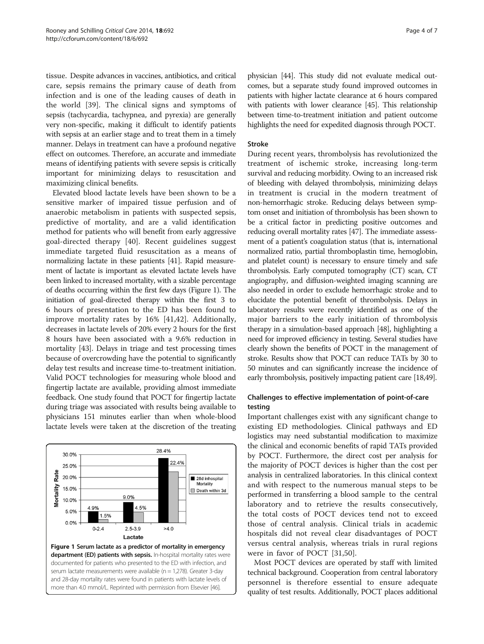tissue. Despite advances in vaccines, antibiotics, and critical care, sepsis remains the primary cause of death from infection and is one of the leading causes of death in the world [\[39](#page-5-0)]. The clinical signs and symptoms of sepsis (tachycardia, tachypnea, and pyrexia) are generally very non-specific, making it difficult to identify patients with sepsis at an earlier stage and to treat them in a timely manner. Delays in treatment can have a profound negative effect on outcomes. Therefore, an accurate and immediate means of identifying patients with severe sepsis is critically important for minimizing delays to resuscitation and maximizing clinical benefits.

Elevated blood lactate levels have been shown to be a sensitive marker of impaired tissue perfusion and of anaerobic metabolism in patients with suspected sepsis, predictive of mortality, and are a valid identification method for patients who will benefit from early aggressive goal-directed therapy [\[40](#page-5-0)]. Recent guidelines suggest immediate targeted fluid resuscitation as a means of normalizing lactate in these patients [\[41\]](#page-5-0). Rapid measurement of lactate is important as elevated lactate levels have been linked to increased mortality, with a sizable percentage of deaths occurring within the first few days (Figure 1). The initiation of goal-directed therapy within the first 3 to 6 hours of presentation to the ED has been found to improve mortality rates by 16% [\[41](#page-5-0),[42\]](#page-5-0). Additionally, decreases in lactate levels of 20% every 2 hours for the first 8 hours have been associated with a 9.6% reduction in mortality [\[43\]](#page-5-0). Delays in triage and test processing times because of overcrowding have the potential to significantly delay test results and increase time-to-treatment initiation. Valid POCT technologies for measuring whole blood and fingertip lactate are available, providing almost immediate feedback. One study found that POCT for fingertip lactate during triage was associated with results being available to physicians 151 minutes earlier than when whole-blood lactate levels were taken at the discretion of the treating



physician [[44](#page-5-0)]. This study did not evaluate medical outcomes, but a separate study found improved outcomes in patients with higher lactate clearance at 6 hours compared with patients with lower clearance [\[45\]](#page-5-0). This relationship between time-to-treatment initiation and patient outcome highlights the need for expedited diagnosis through POCT.

#### Stroke

During recent years, thrombolysis has revolutionized the treatment of ischemic stroke, increasing long-term survival and reducing morbidity. Owing to an increased risk of bleeding with delayed thrombolysis, minimizing delays in treatment is crucial in the modern treatment of non-hemorrhagic stroke. Reducing delays between symptom onset and initiation of thrombolysis has been shown to be a critical factor in predicting positive outcomes and reducing overall mortality rates [[47\]](#page-6-0). The immediate assessment of a patient's coagulation status (that is, international normalized ratio, partial thromboplastin time, hemoglobin, and platelet count) is necessary to ensure timely and safe thrombolysis. Early computed tomography (CT) scan, CT angiography, and diffusion-weighted imaging scanning are also needed in order to exclude hemorrhagic stroke and to elucidate the potential benefit of thrombolysis. Delays in laboratory results were recently identified as one of the major barriers to the early initiation of thrombolysis therapy in a simulation-based approach [\[48](#page-6-0)], highlighting a need for improved efficiency in testing. Several studies have clearly shown the benefits of POCT in the management of stroke. Results show that POCT can reduce TATs by 30 to 50 minutes and can significantly increase the incidence of early thrombolysis, positively impacting patient care [\[18](#page-5-0)[,49\]](#page-6-0).

# Challenges to effective implementation of point-of-care testing

Important challenges exist with any significant change to existing ED methodologies. Clinical pathways and ED logistics may need substantial modification to maximize the clinical and economic benefits of rapid TATs provided by POCT. Furthermore, the direct cost per analysis for the majority of POCT devices is higher than the cost per analysis in centralized laboratories. In this clinical context and with respect to the numerous manual steps to be performed in transferring a blood sample to the central laboratory and to retrieve the results consecutively, the total costs of POCT devices tend not to exceed those of central analysis. Clinical trials in academic hospitals did not reveal clear disadvantages of POCT versus central analysis, whereas trials in rural regions were in favor of POCT [\[31](#page-5-0),[50\]](#page-6-0).

Most POCT devices are operated by staff with limited technical background. Cooperation from central laboratory personnel is therefore essential to ensure adequate quality of test results. Additionally, POCT places additional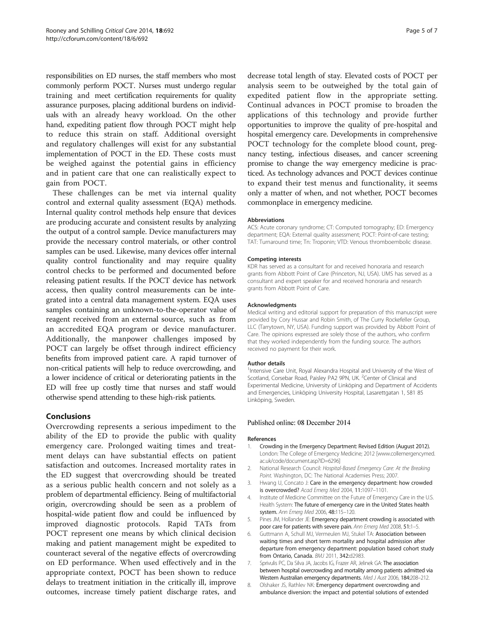<span id="page-4-0"></span>responsibilities on ED nurses, the staff members who most commonly perform POCT. Nurses must undergo regular training and meet certification requirements for quality assurance purposes, placing additional burdens on individuals with an already heavy workload. On the other hand, expediting patient flow through POCT might help to reduce this strain on staff. Additional oversight and regulatory challenges will exist for any substantial implementation of POCT in the ED. These costs must be weighed against the potential gains in efficiency and in patient care that one can realistically expect to gain from POCT.

These challenges can be met via internal quality control and external quality assessment (EQA) methods. Internal quality control methods help ensure that devices are producing accurate and consistent results by analyzing the output of a control sample. Device manufacturers may provide the necessary control materials, or other control samples can be used. Likewise, many devices offer internal quality control functionality and may require quality control checks to be performed and documented before releasing patient results. If the POCT device has network access, then quality control measurements can be integrated into a central data management system. EQA uses samples containing an unknown-to-the-operator value of reagent received from an external source, such as from an accredited EQA program or device manufacturer. Additionally, the manpower challenges imposed by POCT can largely be offset through indirect efficiency benefits from improved patient care. A rapid turnover of non-critical patients will help to reduce overcrowding, and a lower incidence of critical or deteriorating patients in the ED will free up costly time that nurses and staff would otherwise spend attending to these high-risk patients.

# Conclusions

Overcrowding represents a serious impediment to the ability of the ED to provide the public with quality emergency care. Prolonged waiting times and treatment delays can have substantial effects on patient satisfaction and outcomes. Increased mortality rates in the ED suggest that overcrowding should be treated as a serious public health concern and not solely as a problem of departmental efficiency. Being of multifactorial origin, overcrowding should be seen as a problem of hospital-wide patient flow and could be influenced by improved diagnostic protocols. Rapid TATs from POCT represent one means by which clinical decision making and patient management might be expedited to counteract several of the negative effects of overcrowding on ED performance. When used effectively and in the appropriate context, POCT has been shown to reduce delays to treatment initiation in the critically ill, improve outcomes, increase timely patient discharge rates, and

decrease total length of stay. Elevated costs of POCT per analysis seem to be outweighed by the total gain of expedited patient flow in the appropriate setting. Continual advances in POCT promise to broaden the applications of this technology and provide further opportunities to improve the quality of pre-hospital and hospital emergency care. Developments in comprehensive POCT technology for the complete blood count, pregnancy testing, infectious diseases, and cancer screening promise to change the way emergency medicine is practiced. As technology advances and POCT devices continue to expand their test menus and functionality, it seems only a matter of when, and not whether, POCT becomes commonplace in emergency medicine.

#### Abbreviations

ACS: Acute coronary syndrome; CT: Computed tomography; ED: Emergency department; EQA: External quality assessment; POCT: Point-of-care testing; TAT: Turnaround time; Tn: Troponin; VTD: Venous thromboembolic disease.

#### Competing interests

KDR has served as a consultant for and received honoraria and research grants from Abbott Point of Care (Princeton, NJ, USA). UMS has served as a consultant and expert speaker for and received honoraria and research grants from Abbott Point of Care.

#### Acknowledgments

Medical writing and editorial support for preparation of this manuscript were provided by Cory Hussar and Robin Smith, of The Curry Rockefeller Group, LLC (Tarrytown, NY, USA). Funding support was provided by Abbott Point of Care. The opinions expressed are solely those of the authors, who confirm that they worked independently from the funding source. The authors received no payment for their work.

#### Author details

<sup>1</sup>Intensive Care Unit, Royal Alexandra Hospital and University of the West of Scotland, Corsebar Road, Paisley PA2 9PN, UK. <sup>2</sup>Center of Clinical and Experimental Medicine, University of Linköping and Department of Accidents and Emergencies, Linköping University Hospital, Lasarettgatan 1, 581 85 Linköping, Sweden.

#### Published online: 08 December 2014

#### References

- 1. Crowding in the Emergency Department: Revised Edition (August 2012). London: The College of Emergency Medicine; 2012 [[www.collemergencymed.](http://www.collemergencymed.ac.uk/code/document.asp?ID=6296) [ac.uk/code/document.asp?ID=6296](http://www.collemergencymed.ac.uk/code/document.asp?ID=6296)]
- 2. National Research Council: Hospital-Based Emergency Care: At the Breaking Point. Washington, DC: The National Academies Press; 2007.
- 3. Hwang U, Concato J: Care in the emergency department: how crowded is overcrowded? Acad Emerg Med 2004, 11:1097–1101.
- 4. Institute of Medicine Committee on the Future of Emergency Care in the U.S. Health System: The future of emergency care in the United States health system. Ann Emerg Med 2006, 48:115–120.
- 5. Pines JM, Hollander JE: Emergency department crowding is associated with poor care for patients with severe pain. Ann Emerg Med 2008, 51:1–5.
- Guttmann A, Schull MJ, Vermeulen MJ, Stukel TA: Association between waiting times and short term mortality and hospital admission after departure from emergency department: population based cohort study from Ontario, Canada. BMJ 2011, 342:d2983.
- 7. Sprivulis PC, Da Silva JA, Jacobs IG, Frazer AR, Jelinek GA: The association between hospital overcrowding and mortality among patients admitted via Western Australian emergency departments. Med J Aust 2006, 184:208–212.
- 8. Olshaker JS, Rathlev NK: Emergency department overcrowding and ambulance diversion: the impact and potential solutions of extended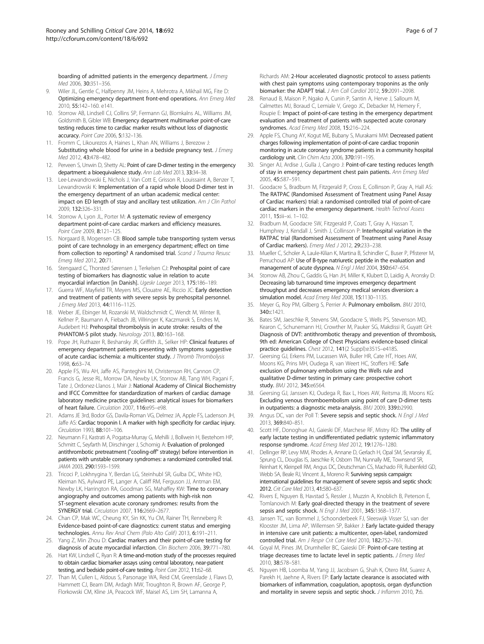<span id="page-5-0"></span>boarding of admitted patients in the emergency department. J Emerg Med 2006, 30:351–356.

- 9. Wiler JL, Gentle C, Halfpenny JM, Heins A, Mehrotra A, Mikhail MG, Fite D: Optimizing emergency department front-end operations. Ann Emerg Med 2010, 55:142–160. e141.
- 10. Storrow AB, Lindsell CJ, Collins SP, Fermann GJ, Blomkalns AL, Williams JM, Goldsmith B, Gibler WB: Emergency department multimarker point-of-care testing reduces time to cardiac marker results without loss of diagnostic accuracy. Point Care 2006, 5:132–136.
- 11. Fromm C, Likourezos A, Haines L, Khan AN, Williams J, Berezow J: Substituting whole blood for urine in a bedside pregnancy test. J Emerg Med 2012, 43:478–482.
- 12. Perveen S, Unwin D, Shetty AL: Point of care D-dimer testing in the emergency department: a bioequivalence study. Ann Lab Med 2013, 33:34–38.
- 13. Lee-Lewandrowski E, Nichols J, Van Cott E, Grisson R, Louissaint A, Benzer T, Lewandrowski K: Implementation of a rapid whole blood D-dimer test in the emergency department of an urban academic medical center: impact on ED length of stay and ancillary test utilization. Am J Clin Pathol 2009, 132:326–331.
- 14. Storrow A, Lyon JL, Porter M: A systematic review of emergency department point-of-care cardiac markers and efficiency measures. Point Care 2009, 8:121–125.
- 15. Norgaard B, Mogensen CB: Blood sample tube transporting system versus point of care technology in an emergency department; effect on time from collection to reporting? A randomised trial. Scand J Trauma Resusc Emerg Med 2012, 20:71.
- 16. Stengaard C, Thorsted Sørensen J, Terkelsen CJ: Prehospital point of care testing of biomarkers has diagnostic value in relation to acute myocardial infarction [in Danish]. Ugeskr Laeger 2013, 175:186–189.
- 17. Guerra WF, Mayfield TR, Meyers MS, Clouatre AE, Riccio JC: Early detection and treatment of patients with severe sepsis by prehospital personnel. J Emerg Med 2013, 44:1116–1125.
- 18. Weber JE, Ebinger M, Rozanski M, Waldschmidt C, Wendt M, Winter B, Kellner P, Baumann A, Fiebach JB, Villringer K, Kaczmarek S, Endres M, Audebert HJ: Prehospital thrombolysis in acute stroke: results of the PHANTOM-S pilot study. Neurology 2013, 80:163-168.
- 19. Pope JH, Ruthazer R, Beshansky JR, Griffith JL, Selker HP: Clinical features of emergency department patients presenting with symptoms suggestive of acute cardiac ischemia: a multicenter study. J Thromb Thrombolysis 1998, 6:63–74.
- 20. Apple FS, Wu AH, Jaffe AS, Panteghini M, Christenson RH, Cannon CP, Francis G, Jesse RL, Morrow DA, Newby LK, Storrow AB, Tang WH, Pagani F, Tate J, Ordonez-Llanos J, Mair J: National Academy of Clinical Biochemistry and IFCC Committee for standardization of markers of cardiac damage laboratory medicine practice guidelines: analytical issues for biomarkers of heart failure. Circulation 2007, 116:e95–e98.
- 21. Adams JE 3rd, Bodor GS, Davila-Roman VG, Delmez JA, Apple FS, Ladenson JH, Jaffe AS: Cardiac troponin I. A marker with high specificity for cardiac injury. Circulation 1993, 88:101–106.
- 22. Neumann FJ, Kastrati A, Pogatsa-Murray G, Mehilli J, Bollwein H, Bestehorn HP, Schmitt C, Seyfarth M, Dirschinger J, Schomig A: Evaluation of prolonged antithrombotic pretreatment ("cooling-off" strategy) before intervention in patients with unstable coronary syndromes: a randomized controlled trial. JAMA 2003, 290:1593–1599.
- 23. Tricoci P, Lokhnygina Y, Berdan LG, Steinhubl SR, Gulba DC, White HD, Kleiman NS, Aylward PE, Langer A, Califf RM, Ferguson JJ, Antman EM, Newby LK, Harrington RA, Goodman SG, Mahaffey KW: Time to coronary angiography and outcomes among patients with high-risk non ST-segment elevation acute coronary syndromes: results from the SYNERGY trial. Circulation 2007, 116:2669–2677.
- 24. Chan CP, Mak WC, Cheung KY, Sin KK, Yu CM, Rainer TH, Renneberg R: Evidence-based point-of-care diagnostics: current status and emerging technologies. Annu Rev Anal Chem (Palo Alto Calif) 2013, 6:191–211.
- 25. Yang Z, Min Zhou D: Cardiac markers and their point-of-care testing for diagnosis of acute myocardial infarction. Clin Biochem 2006, 39:771–780.
- 26. Hart KW, Lindsell C, Ryan R: A time-and-motion study of the processes required to obtain cardiac biomarker assays using central laboratory, near-patient testing, and bedside point-of-care testing. Point Care 2012, 11:62–68.
- 27. Than M, Cullen L, Aldous S, Parsonage WA, Reid CM, Greenslade J, Flaws D, Hammett CJ, Beam DM, Ardagh MW, Troughton R, Brown AF, George P, Florkowski CM, Kline JA, Peacock WF, Maisel AS, Lim SH, Lamanna A,

Richards AM: 2-Hour accelerated diagnostic protocol to assess patients with chest pain symptoms using contemporary troponins as the only biomarker: the ADAPT trial. J Am Coll Cardiol 2012, 59:2091–2098.

- 28. Renaud B, Maison P, Ngako A, Cunin P, Santin A, Herve J, Salloum M, Calmettes MJ, Boraud C, Lemiale V, Grego JC, Debacker M, Hemery F, Roupie E: Impact of point-of-care testing in the emergency department evaluation and treatment of patients with suspected acute coronary syndromes. Acad Emerg Med 2008, 15:216–224.
- 29. Apple FS, Chung AY, Kogut ME, Bubany S, Murakami MM: Decreased patient charges following implementation of point-of-care cardiac troponin monitoring in acute coronary syndrome patients in a community hospital cardiology unit. Clin Chim Acta 2006, 370:191-195.
- 30. Singer AJ, Ardise J, Gulla J, Cangro J: Point-of-care testing reduces length of stay in emergency department chest pain patients. Ann Emerg Med 2005, 45:587–591.
- 31. Goodacre S, Bradburn M, Fitzgerald P, Cross E, Collinson P, Gray A, Hall AS: The RATPAC (Randomised Assessment of Treatment using Panel Assay of Cardiac markers) trial: a randomised controlled trial of point-of-care cardiac markers in the emergency department. Health Technol Assess 2011, 15:iii–xi. 1–102.
- 32. Bradburn M, Goodacre SW, Fitzgerald P, Coats T, Gray A, Hassan T, Humphrey J, Kendall J, Smith J, Collinson P: Interhospital variation in the RATPAC trial (Randomised Assessment of Treatment using Panel Assay of Cardiac markers). Emerg Med J 2012, 29:233–238.
- 33. Mueller C, Scholer A, Laule-Kilian K, Martina B, Schindler C, Buser P, Pfisterer M, Perruchoud AP: Use of B-type natriuretic peptide in the evaluation and management of acute dyspnea. N Engl J Med 2004, 350:647–654.
- 34. Storrow AB, Zhou C, Gaddis G, Han JH, Miller K, Klubert D, Laidig A, Aronsky D: Decreasing lab turnaround time improves emergency department throughput and decreases emergency medical services diversion: a simulation model. Acad Emerg Med 2008, 15:1130–1135.
- 35. Meyer G, Roy PM, Gilberg S, Perrier A: Pulmonary embolism. BMJ 2010, 340:c1421.
- 36. Bates SM, Jaeschke R, Stevens SM, Goodacre S, Wells PS, Stevenson MD, Kearon C, Schunemann HJ, Crowther M, Pauker SG, Makdissi R, Guyatt GH: Diagnosis of DVT: antithrombotic therapy and prevention of thrombosis, 9th ed: American College of Chest Physicians evidence-based clinical practice guidelines. Chest 2012, 141(2 Suppl):e351S-e418S.
- 37. Geersing GJ, Erkens PM, Lucassen WA, Buller HR, Cate HT, Hoes AW, Moons KG, Prins MH, Oudega R, van Weert HC, Stoffers HE: Safe exclusion of pulmonary embolism using the Wells rule and qualitative D-dimer testing in primary care: prospective cohort study. BMJ 2012, 345:e6564.
- 38. Geersing GJ, Janssen KJ, Oudega R, Bax L, Hoes AW, Reitsma JB, Moons KG: Excluding venous thromboembolism using point of care D-dimer tests in outpatients: a diagnostic meta-analysis. BMJ 2009, 339:b2990.
- 39. Angus DC, van der Poll T: Severe sepsis and septic shock. N Engl J Med 2013, 369:840–851.
- 40. Scott HF, Donoghue AJ, Gaieski DF, Marchese RF, Mistry RD: The utility of early lactate testing in undifferentiated pediatric systemic inflammatory response syndrome. Acad Emerg Med 2012, 19:1276–1280.
- 41. Dellinger RP, Levy MM, Rhodes A, Annane D, Gerlach H, Opal SM, Sevransky JE, Sprung CL, Douglas IS, Jaeschke R, Osborn TM, Nunnally ME, Townsend SR, Reinhart K, Kleinpell RM, Angus DC, Deutschman CS, Machado FR, Rubenfeld GD, Webb SA, Beale RJ, Vincent JL, Moreno R: Surviving sepsis campaign: international guidelines for management of severe sepsis and septic shock: 2012. Crit Care Med 2013, 41:580–637.
- 42. Rivers E, Nguyen B, Havstad S, Ressler J, Muzzin A, Knoblich B, Peterson E, Tomlanovich M: Early goal-directed therapy in the treatment of severe sepsis and septic shock. N Engl J Med 2001, 345:1368–1377.
- 43. Jansen TC, van Bommel J, Schoonderbeek FJ, Sleeswijk Visser SJ, van der Klooster JM, Lima AP, Willemsen SP, Bakker J: Early lactate-guided therapy in intensive care unit patients: a multicenter, open-label, randomized controlled trial. Am J Respir Crit Care Med 2010, 182:752-761.
- 44. Goyal M, Pines JM, Drumheller BC, Gaieski DF: Point-of-care testing at triage decreases time to lactate level in septic patients. J Emerg Med 2010, 38:578–581.
- 45. Nguyen HB, Loomba M, Yang JJ, Jacobsen G, Shah K, Otero RM, Suarez A, Parekh H, Jaehne A, Rivers EP: Early lactate clearance is associated with biomarkers of inflammation, coagulation, apoptosis, organ dysfunction and mortality in severe sepsis and septic shock. J Inflamm 2010, 7:6.